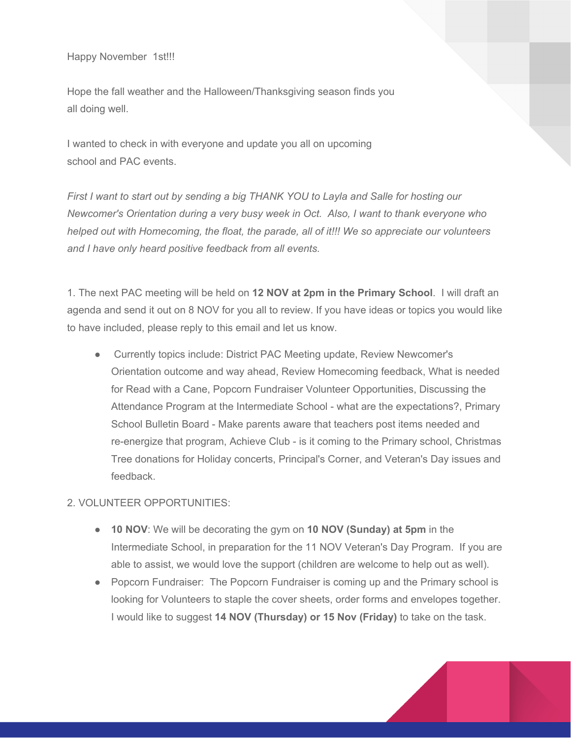Happy November 1st!!!

Hope the fall weather and the Halloween/Thanksgiving season finds you all doing well.

I wanted to check in with everyone and update you all on upcoming school and PAC events.

*First I want to start out by sending a big THANK YOU to Layla and Salle for hosting our Newcomer's Orientation during a very busy week in Oct. Also, I want to thank everyone who helped out with Homecoming, the float, the parade, all of it!!! We so appreciate our volunteers and I have only heard positive feedback from all events.*

1. The next PAC meeting will be held on **12 NOV at 2pm in the Primary School**. I will draft an agenda and send it out on 8 NOV for you all to review. If you have ideas or topics you would like to have included, please reply to this email and let us know.

● Currently topics include: District PAC Meeting update, Review Newcomer's Orientation outcome and way ahead, Review Homecoming feedback, What is needed for Read with a Cane, Popcorn Fundraiser Volunteer Opportunities, Discussing the Attendance Program at the Intermediate School - what are the expectations?, Primary School Bulletin Board - Make parents aware that teachers post items needed and re-energize that program, Achieve Club - is it coming to the Primary school, Christmas Tree donations for Holiday concerts, Principal's Corner, and Veteran's Day issues and feedback.

## 2. VOLUNTEER OPPORTUNITIES:

- **10 NOV**: We will be decorating the gym on **10 NOV (Sunday) at 5pm** in the Intermediate School, in preparation for the 11 NOV Veteran's Day Program. If you are able to assist, we would love the support (children are welcome to help out as well).
- Popcorn Fundraiser: The Popcorn Fundraiser is coming up and the Primary school is looking for Volunteers to staple the cover sheets, order forms and envelopes together. I would like to suggest **14 NOV (Thursday) or 15 Nov (Friday)** to take on the task.